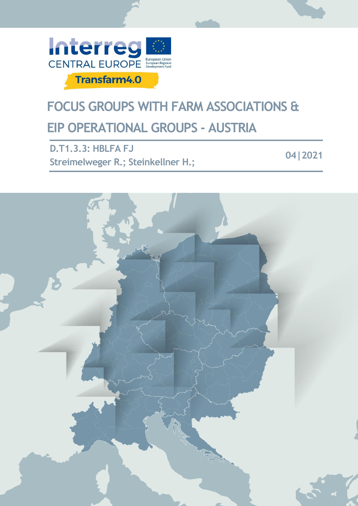

# **FOCUS GROUPS WITH FARM ASSOCIATIONS & EIP OPERATIONAL GROUPS - AUSTRIA**

**D.T1.3.3: HBLFA FJ Streimelweger R.; Steinkellner H.; 04|2021**

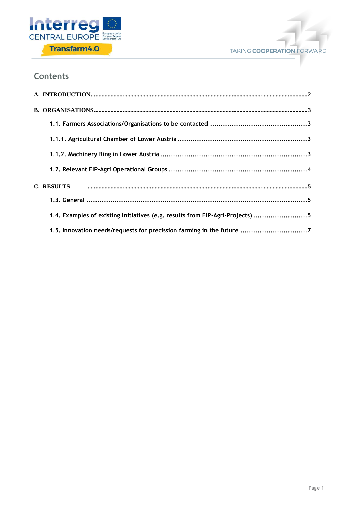



### **Contents**

| 1.4. Examples of existing initiatives (e.g. results from EIP-Agri-Projects) 5 |
|-------------------------------------------------------------------------------|
| 1.5. Innovation needs/requests for precission farming in the future 7         |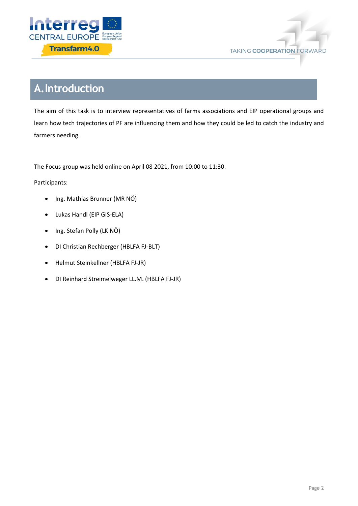



# <span id="page-2-0"></span>**A.Introduction**

The aim of this task is to interview representatives of farms associations and EIP operational groups and learn how tech trajectories of PF are influencing them and how they could be led to catch the industry and farmers needing.

The Focus group was held online on April 08 2021, from 10:00 to 11:30.

#### Participants:

- Ing. Mathias Brunner (MR NÖ)
- Lukas Handl (EIP GIS-ELA)
- Ing. Stefan Polly (LK NÖ)
- DI Christian Rechberger (HBLFA FJ-BLT)
- Helmut Steinkellner (HBLFA FJ-JR)
- DI Reinhard Streimelweger LL.M. (HBLFA FJ-JR)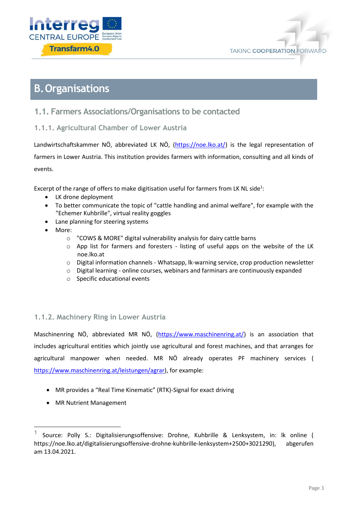



# <span id="page-3-0"></span>**B.Organisations**

### <span id="page-3-1"></span>**1.1. Farmers Associations/Organisations to be contacted**

<span id="page-3-2"></span>**1.1.1. Agricultural Chamber of Lower Austria**

Landwirtschaftskammer NÖ, abbreviated LK NÖ, [\(https://noe.lko.at/\)](https://noe.lko.at/) is the legal representation of farmers in Lower Austria. This institution provides farmers with information, consulting and all kinds of events.

Excerpt of the range of offers to make digitisation useful for farmers from LK NL side<sup>1</sup>:

- LK drone deployment
- To better communicate the topic of "cattle handling and animal welfare", for example with the "Echemer Kuhbrille", virtual reality goggles
- Lane planning for steering systems
- More:
	- o "COWS & MORE" digital vulnerability analysis for dairy cattle barns
	- o App list for farmers and foresters listing of useful apps on the website of the LK noe.lko.at
	- o Digital information channels Whatsapp, lk-warning service, crop production newsletter
	- $\circ$  Digital learning online courses, webinars and farminars are continuously expanded
	- o Specific educational events

### <span id="page-3-3"></span>**1.1.2. Machinery Ring in Lower Austria**

Maschinenring NÖ, abbreviated MR NÖ, [\(https://www.maschinenring.at/\)](https://www.maschinenring.at/) is an association that includes agricultural entities which jointly use agricultural and forest machines, and that arranges for agricultural manpower when needed. MR NÖ already operates PF machinery services ( [https://www.maschinenring.at/leistungen/agrar\)](https://www.maschinenring.at/leistungen/agrar), for example:

- MR provides a "Real Time Kinematic" (RTK)-Signal for exact driving
- MR Nutrient Management

1

**<sup>1</sup>** Source: Polly S.: Digitalisierungsoffensive: Drohne, Kuhbrille & Lenksystem, in: lk online ( https://noe.lko.at/digitalisierungsoffensive-drohne-kuhbrille-lenksystem+2500+3021290), abgerufen am 13.04.2021.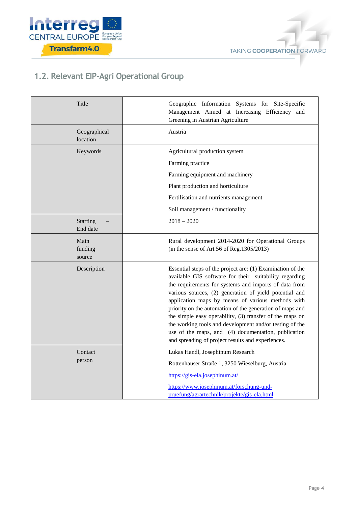



## <span id="page-4-0"></span>**1.2. Relevant EIP-Agri Operational Group**

| Title                       | Geographic Information Systems for Site-Specific<br>Management Aimed at Increasing Efficiency and<br>Greening in Austrian Agriculture                                                                                                                                                                                                                                                                                                                                                                                                                                                       |
|-----------------------------|---------------------------------------------------------------------------------------------------------------------------------------------------------------------------------------------------------------------------------------------------------------------------------------------------------------------------------------------------------------------------------------------------------------------------------------------------------------------------------------------------------------------------------------------------------------------------------------------|
| Geographical<br>location    | Austria                                                                                                                                                                                                                                                                                                                                                                                                                                                                                                                                                                                     |
| Keywords                    | Agricultural production system<br>Farming practice<br>Farming equipment and machinery<br>Plant production and horticulture<br>Fertilisation and nutrients management                                                                                                                                                                                                                                                                                                                                                                                                                        |
|                             | Soil management / functionality                                                                                                                                                                                                                                                                                                                                                                                                                                                                                                                                                             |
| <b>Starting</b><br>End date | $2018 - 2020$                                                                                                                                                                                                                                                                                                                                                                                                                                                                                                                                                                               |
| Main<br>funding<br>source   | Rural development 2014-2020 for Operational Groups<br>(in the sense of Art 56 of Reg. 1305/2013)                                                                                                                                                                                                                                                                                                                                                                                                                                                                                            |
| Description                 | Essential steps of the project are: (1) Examination of the<br>available GIS software for their suitability regarding<br>the requirements for systems and imports of data from<br>various sources, (2) generation of yield potential and<br>application maps by means of various methods with<br>priority on the automation of the generation of maps and<br>the simple easy operability, (3) transfer of the maps on<br>the working tools and development and/or testing of the<br>use of the maps, and (4) documentation, publication<br>and spreading of project results and experiences. |
| Contact<br>person           | Lukas Handl, Josephinum Research<br>Rottenhauser Straße 1, 3250 Wieselburg, Austria<br>https://gis-ela.josephinum.at/<br>https://www.josephinum.at/forschung-und-<br>pruefung/agrartechnik/projekte/gis-ela.html                                                                                                                                                                                                                                                                                                                                                                            |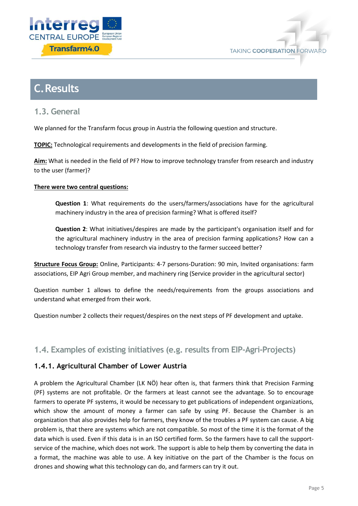



# <span id="page-5-0"></span>**C.Results**

<span id="page-5-1"></span>**1.3. General**

We planned for the Transfarm focus group in Austria the following question and structure.

**TOPIC:** Technological requirements and developments in the field of precision farming.

**Aim:** What is needed in the field of PF? How to improve technology transfer from research and industry to the user (farmer)?

#### **There were two central questions:**

**Question 1**: What requirements do the users/farmers/associations have for the agricultural machinery industry in the area of precision farming? What is offered itself?

**Question 2**: What initiatives/despires are made by the participant's organisation itself and for the agricultural machinery industry in the area of precision farming applications? How can a technology transfer from research via industry to the farmer succeed better?

**Structure Focus Group:** Online, Participants: 4-7 persons-Duration: 90 min, Invited organisations: farm associations, EIP Agri Group member, and machinery ring (Service provider in the agricultural sector)

Question number 1 allows to define the needs/requirements from the groups associations and understand what emerged from their work.

Question number 2 collects their request/despires on the next steps of PF development and uptake.

### <span id="page-5-2"></span>**1.4. Examples of existing initiatives (e.g. results from EIP-Agri-Projects)**

### **1.4.1. Agricultural Chamber of Lower Austria**

A problem the Agricultural Chamber (LK NÖ) hear often is, that farmers think that Precision Farming (PF) systems are not profitable. Or the farmers at least cannot see the advantage. So to encourage farmers to operate PF systems, it would be necessary to get publications of independent organizations, which show the amount of money a farmer can safe by using PF. Because the Chamber is an organization that also provides help for farmers, they know of the troubles a PF system can cause. A big problem is, that there are systems which are not compatible. So most of the time it is the format of the data which is used. Even if this data is in an ISO certified form. So the farmers have to call the supportservice of the machine, which does not work. The support is able to help them by converting the data in a format, the machine was able to use. A key initiative on the part of the Chamber is the focus on drones and showing what this technology can do, and farmers can try it out.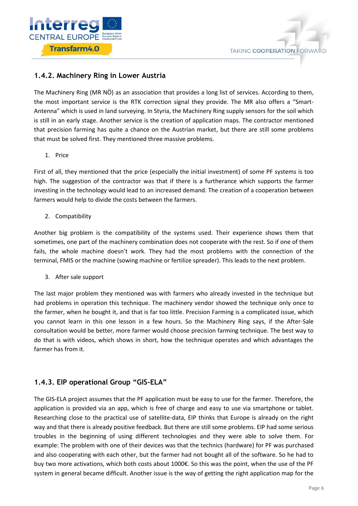

### **1.4.2. Machinery Ring in Lower Austria**

The Machinery Ring (MR NÖ) as an association that provides a long list of services. According to them, the most important service is the RTK correction signal they provide. The MR also offers a "Smart-Antenna" which is used in land surveying. In Styria, the Machinery Ring supply sensors for the soil which is still in an early stage. Another service is the creation of application maps. The contractor mentioned that precision farming has quite a chance on the Austrian market, but there are still some problems that must be solved first. They mentioned three massive problems.

1. Price

First of all, they mentioned that the price (especially the initial investment) of some PF systems is too high. The suggestion of the contractor was that if there is a furtherance which supports the farmer investing in the technology would lead to an increased demand. The creation of a cooperation between farmers would help to divide the costs between the farmers.

2. Compatibility

Another big problem is the compatibility of the systems used. Their experience shows them that sometimes, one part of the machinery combination does not cooperate with the rest. So if one of them fails, the whole machine doesn't work. They had the most problems with the connection of the terminal, FMIS or the machine (sowing machine or fertilize spreader). This leads to the next problem.

3. After sale support

The last major problem they mentioned was with farmers who already invested in the technique but had problems in operation this technique. The machinery vendor showed the technique only once to the farmer, when he bought it, and that is far too little. Precision Farming is a complicated issue, which you cannot learn in this one lesson in a few hours. So the Machinery Ring says, if the After-Sale consultation would be better, more farmer would choose precision farming technique. The best way to do that is with videos, which shows in short, how the technique operates and which advantages the farmer has from it.

### **1.4.3. EIP operational Group "GIS-ELA"**

The GIS-ELA project assumes that the PF application must be easy to use for the farmer. Therefore, the application is provided via an app, which is free of charge and easy to use via smartphone or tablet. Researching close to the practical use of satellite-data, EIP thinks that Europe is already on the right way and that there is already positive feedback. But there are still some problems. EIP had some serious troubles in the beginning of using different technologies and they were able to solve them. For example: The problem with one of their devices was that the technics (hardware) for PF was purchased and also cooperating with each other, but the farmer had not bought all of the software. So he had to buy two more activations, which both costs about 1000€. So this was the point, when the use of the PF system in general became difficult. Another issue is the way of getting the right application map for the